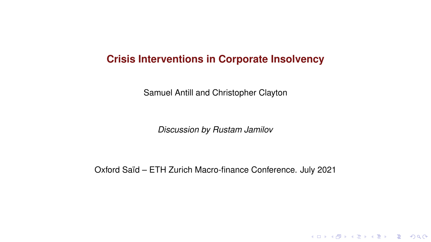#### **Crisis Interventions in Corporate Insolvency**

Samuel Antill and Christopher Clayton

*Discussion by Rustam Jamilov*

Oxford Saïd – ETH Zurich Macro-finance Conference. July 2021

K ロ ▶ K @ ▶ K 할 > K 할 > 1 할 > 9 Q Q\*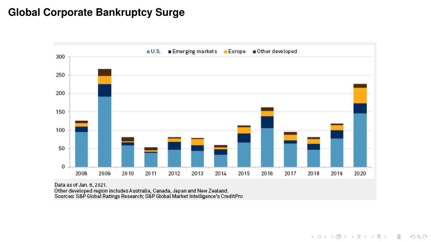# **Global Corporate Bankruptcy Surge**



Other developed region includes Australia, Canada, Japan and New Zealand.<br>Sources: S&P Global Ratings Research; S&P Global Market Intelligence's CreditPro

**K ロ ▶ K 御 ▶ K 聖 ▶ K 聖 ▶ 『 重 』 の Q Q ©**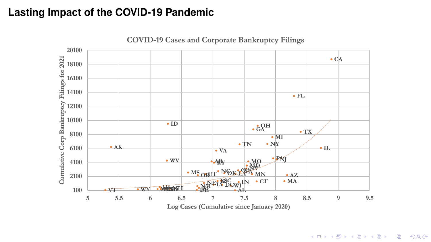### **Lasting Impact of the COVID-19 Pandemic**



**COVID-19 Cases and Corporate Bankruptcy Filings** 

K ロ ▶ K @ ▶ K 할 > K 할 > 1 할 > 9 Q Q\*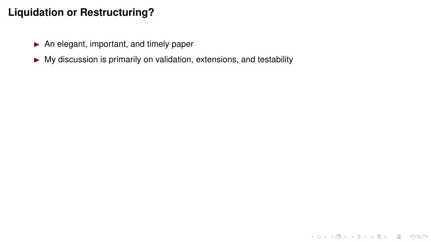- $\blacktriangleright$  An elegant, important, and timely paper
- $\triangleright$  My discussion is primarily on validation, extensions, and testability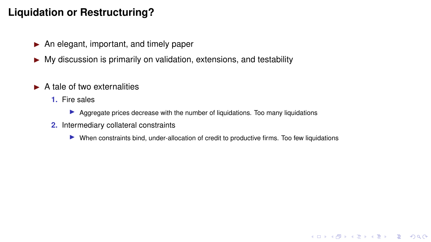- $\blacktriangleright$  An elegant, important, and timely paper
- $\triangleright$  My discussion is primarily on validation, extensions, and testability
- $\blacktriangleright$  A tale of two externalities
	- **1.** Fire sales
		- $\triangleright$  Aggregate prices decrease with the number of liquidations. Too many liquidations
	- **2.** Intermediary collateral constraints
		- In When constraints bind, under-allocation of credit to productive firms. Too few liquidations

K ロ ▶ K @ ▶ K 할 > K 할 > 1 할 > 9 Q Q\*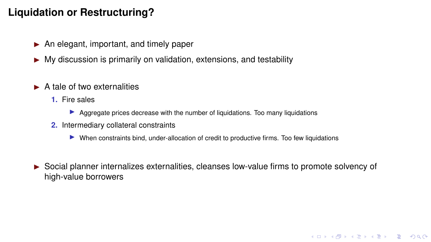- $\blacktriangleright$  An elegant, important, and timely paper
- $\triangleright$  My discussion is primarily on validation, extensions, and testability
- $\blacktriangleright$  A tale of two externalities
	- **1.** Fire sales
		- $\triangleright$  Aggregate prices decrease with the number of liquidations. Too many liquidations
	- **2.** Intermediary collateral constraints
		- In When constraints bind, under-allocation of credit to productive firms. Too few liquidations
- $\triangleright$  Social planner internalizes externalities, cleanses low-value firms to promote solvency of high-value borrowers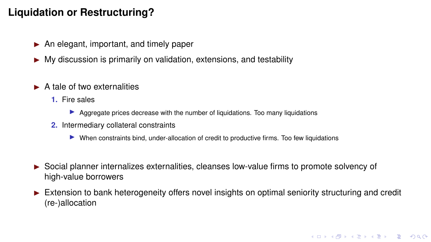- $\blacktriangleright$  An elegant, important, and timely paper
- $\triangleright$  My discussion is primarily on validation, extensions, and testability
- $\blacktriangleright$  A tale of two externalities
	- **1.** Fire sales
		- $\triangleright$  Aggregate prices decrease with the number of liquidations. Too many liquidations
	- **2.** Intermediary collateral constraints
		- In When constraints bind, under-allocation of credit to productive firms. Too few liquidations
- I Social planner internalizes externalities, cleanses low-value firms to promote solvency of high-value borrowers
- Extension to bank heterogeneity offers novel insights on optimal seniority structuring and credit (re-)allocation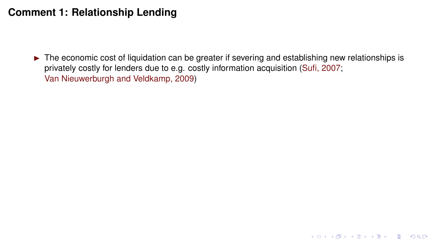$\triangleright$  The economic cost of liquidation can be greater if severing and establishing new relationships is privately costly for lenders due to e.g. costly information acquisition [\(Sufi, 2007;](#page-35-0) [Van Nieuwerburgh and Veldkamp, 2009\)](#page-35-1)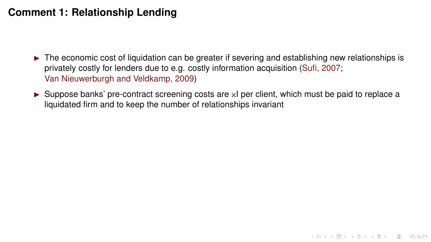- $\triangleright$  The economic cost of liquidation can be greater if severing and establishing new relationships is privately costly for lenders due to e.g. costly information acquisition [\(Sufi, 2007;](#page-35-0) [Van Nieuwerburgh and Veldkamp, 2009\)](#page-35-1)
- ► Suppose banks' pre-contract screening costs are xI per client, which must be paid to replace a liquidated firm and to keep the number of relationships invariant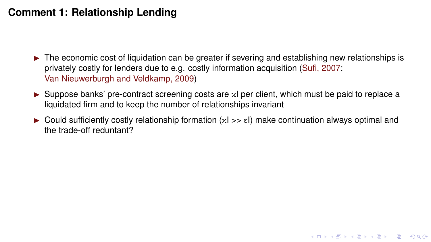- $\triangleright$  The economic cost of liquidation can be greater if severing and establishing new relationships is privately costly for lenders due to e.g. costly information acquisition [\(Sufi, 2007;](#page-35-0) [Van Nieuwerburgh and Veldkamp, 2009\)](#page-35-1)
- ► Suppose banks' pre-contract screening costs are xI per client, which must be paid to replace a liquidated firm and to keep the number of relationships invariant
- $\triangleright$  Could sufficiently costly relationship formation  $(xI \gt g \epsilon I)$  make continuation always optimal and the trade-off reduntant?

**KORK EX KEY OR ABY**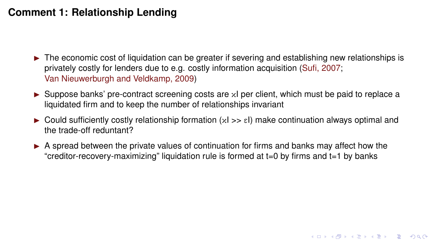- $\triangleright$  The economic cost of liquidation can be greater if severing and establishing new relationships is privately costly for lenders due to e.g. costly information acquisition [\(Sufi, 2007;](#page-35-0) [Van Nieuwerburgh and Veldkamp, 2009\)](#page-35-1)
- ► Suppose banks' pre-contract screening costs are xI per client, which must be paid to replace a liquidated firm and to keep the number of relationships invariant
- $\triangleright$  Could sufficiently costly relationship formation  $(xI \gt g \epsilon I)$  make continuation always optimal and the trade-off reduntant?

**KORKARRA EX KEY EL POQO** 

 $\triangleright$  A spread between the private values of continuation for firms and banks may affect how the "creditor-recovery-maximizing" liquidation rule is formed at t=0 by firms and t=1 by banks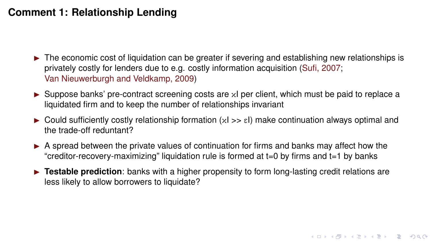- $\triangleright$  The economic cost of liquidation can be greater if severing and establishing new relationships is privately costly for lenders due to e.g. costly information acquisition [\(Sufi, 2007;](#page-35-0) [Van Nieuwerburgh and Veldkamp, 2009\)](#page-35-1)
- ► Suppose banks' pre-contract screening costs are xI per client, which must be paid to replace a liquidated firm and to keep the number of relationships invariant
- $\triangleright$  Could sufficiently costly relationship formation  $(xI \gt g \epsilon I)$  make continuation always optimal and the trade-off reduntant?
- $\triangleright$  A spread between the private values of continuation for firms and banks may affect how the "creditor-recovery-maximizing" liquidation rule is formed at t=0 by firms and t=1 by banks
- **Festable prediction**: banks with a higher propensity to form long-lasting credit relations are less likely to allow borrowers to liquidate?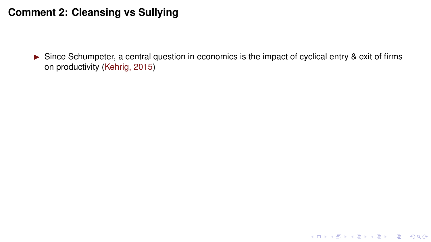$\triangleright$  Since Schumpeter, a central question in economics is the impact of cyclical entry & exit of firms on productivity [\(Kehrig, 2015\)](#page-35-2)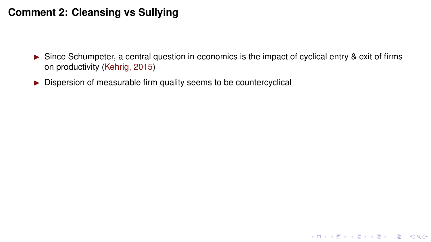$\triangleright$  Since Schumpeter, a central question in economics is the impact of cyclical entry & exit of firms on productivity [\(Kehrig, 2015\)](#page-35-2)

K ロ ▶ K @ ▶ K 할 > K 할 > 1 할 > 9 Q Q\*

 $\triangleright$  Dispersion of measurable firm quality seems to be countercyclical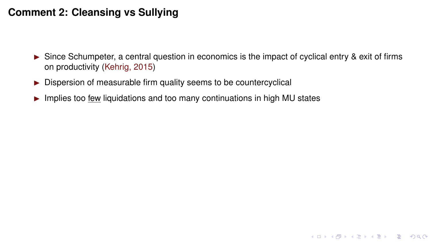- $\triangleright$  Since Schumpeter, a central question in economics is the impact of cyclical entry & exit of firms on productivity [\(Kehrig, 2015\)](#page-35-2)
- $\triangleright$  Dispersion of measurable firm quality seems to be countercyclical
- $\blacktriangleright$  Implies too few liquidations and too many continuations in high MU states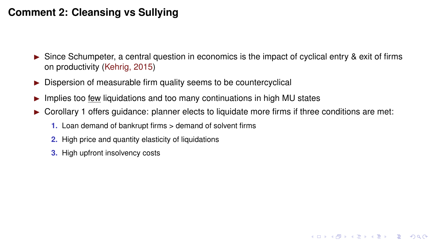- $\triangleright$  Since Schumpeter, a central question in economics is the impact of cyclical entry & exit of firms on productivity [\(Kehrig, 2015\)](#page-35-2)
- $\triangleright$  Dispersion of measurable firm quality seems to be countercyclical
- Implies too few liquidations and too many continuations in high MU states
- $\triangleright$  Corollary 1 offers guidance: planner elects to liquidate more firms if three conditions are met:

**KORK EX KEY OR ABY** 

- **1.** Loan demand of bankrupt firms > demand of solvent firms
- **2.** High price and quantity elasticity of liquidations
- **3.** High upfront insolvency costs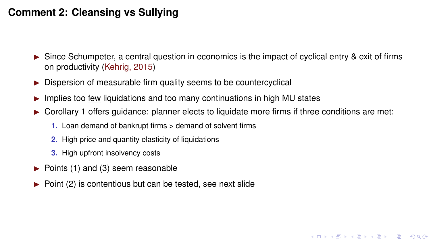- $\triangleright$  Since Schumpeter, a central question in economics is the impact of cyclical entry & exit of firms on productivity [\(Kehrig, 2015\)](#page-35-2)
- $\triangleright$  Dispersion of measurable firm quality seems to be countercyclical
- Implies too few liquidations and too many continuations in high MU states
- $\triangleright$  Corollary 1 offers guidance: planner elects to liquidate more firms if three conditions are met:

**KORKARYKERKE PORCH** 

- **1.** Loan demand of bankrupt firms > demand of solvent firms
- **2.** High price and quantity elasticity of liquidations
- **3.** High upfront insolvency costs
- $\blacktriangleright$  Points (1) and (3) seem reasonable
- $\triangleright$  Point (2) is contentious but can be tested, see next slide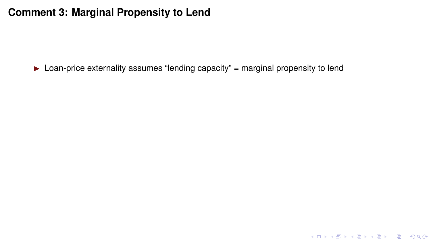$\triangleright$  Loan-price externality assumes "lending capacity" = marginal propensity to lend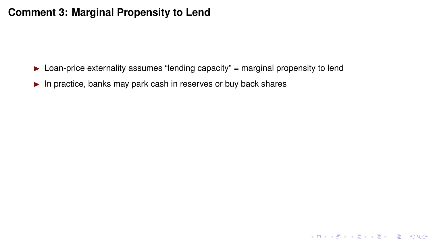$\triangleright$  Loan-price externality assumes "lending capacity" = marginal propensity to lend

KOKK@KKEKKEK E 1990

 $\blacktriangleright$  In practice, banks may park cash in reserves or buy back shares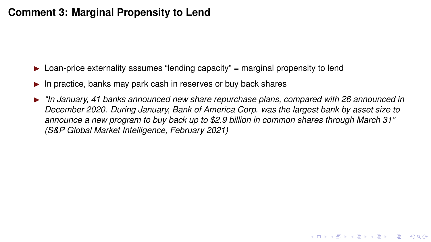- $\triangleright$  Loan-price externality assumes "lending capacity" = marginal propensity to lend
- In practice, banks may park cash in reserves or buy back shares
- I *"In January, 41 banks announced new share repurchase plans, compared with 26 announced in December 2020. During January, Bank of America Corp. was the largest bank by asset size to announce a new program to buy back up to \$2.9 billion in common shares through March 31" (S&P Global Market Intelligence, February 2021)*

**KORK EX KEY OR ABY**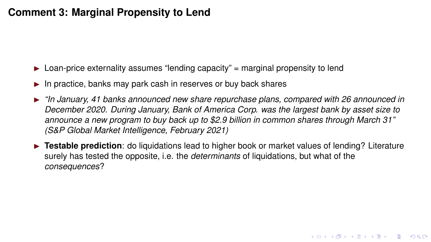- $\triangleright$  Loan-price externality assumes "lending capacity" = marginal propensity to lend
- In practice, banks may park cash in reserves or buy back shares
- I *"In January, 41 banks announced new share repurchase plans, compared with 26 announced in December 2020. During January, Bank of America Corp. was the largest bank by asset size to announce a new program to buy back up to \$2.9 billion in common shares through March 31" (S&P Global Market Intelligence, February 2021)*
- **► Testable prediction**: do liquidations lead to higher book or market values of lending? Literature surely has tested the opposite, i.e. the *determinants* of liquidations, but what of the *consequences*?

**KORK EX KEY OR ABY**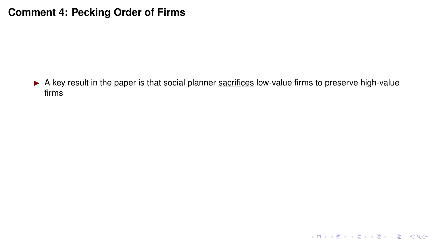### **Comment 4: Pecking Order of Firms**

A key result in the paper is that social planner sacrifices low-value firms to preserve high-value firms

KID KAR KE KAEK E 1990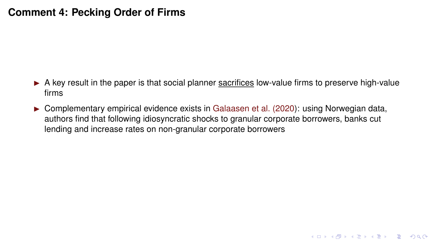#### **Comment 4: Pecking Order of Firms**

- $\triangleright$  A key result in the paper is that social planner sacrifices low-value firms to preserve high-value firms
- $\triangleright$  Complementary empirical evidence exists in [Galaasen et al. \(2020\)](#page-35-3): using Norwegian data, authors find that following idiosyncratic shocks to granular corporate borrowers, banks cut lending and increase rates on non-granular corporate borrowers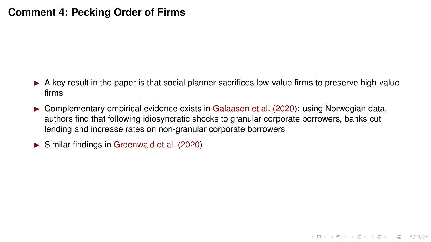#### **Comment 4: Pecking Order of Firms**

 $\triangleright$  A key result in the paper is that social planner sacrifices low-value firms to preserve high-value firms

**KORK EX KEY OR ABY** 

- $\triangleright$  Complementary empirical evidence exists in [Galaasen et al. \(2020\)](#page-35-3): using Norwegian data, authors find that following idiosyncratic shocks to granular corporate borrowers, banks cut lending and increase rates on non-granular corporate borrowers
- $\triangleright$  Similar findings in [Greenwald et al. \(2020\)](#page-35-4)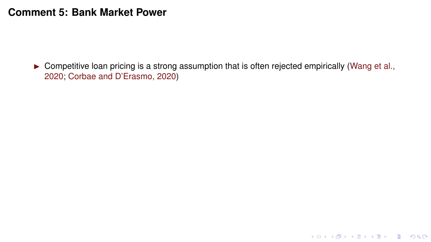$\triangleright$  Competitive loan pricing is a strong assumption that is often rejected empirically [\(Wang et al.,](#page-35-5) [2020;](#page-35-5) [Corbae and D'Erasmo, 2020\)](#page-35-6)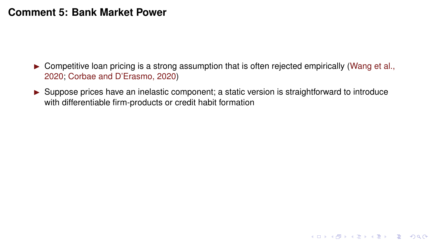- $\triangleright$  Competitive loan pricing is a strong assumption that is often rejected empirically [\(Wang et al.,](#page-35-5) [2020;](#page-35-5) [Corbae and D'Erasmo, 2020\)](#page-35-6)
- $\triangleright$  Suppose prices have an inelastic component; a static version is straightforward to introduce with differentiable firm-products or credit habit formation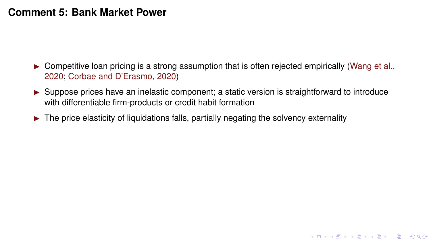- $\triangleright$  Competitive loan pricing is a strong assumption that is often rejected empirically [\(Wang et al.,](#page-35-5) [2020;](#page-35-5) [Corbae and D'Erasmo, 2020\)](#page-35-6)
- $\triangleright$  Suppose prices have an inelastic component; a static version is straightforward to introduce with differentiable firm-products or credit habit formation

**KORK EX KEY OR ABY** 

 $\triangleright$  The price elasticity of liquidations falls, partially negating the solvency externality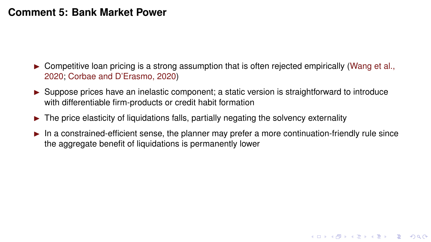- $\triangleright$  Competitive loan pricing is a strong assumption that is often rejected empirically [\(Wang et al.,](#page-35-5) [2020;](#page-35-5) [Corbae and D'Erasmo, 2020\)](#page-35-6)
- $\triangleright$  Suppose prices have an inelastic component; a static version is straightforward to introduce with differentiable firm-products or credit habit formation
- $\triangleright$  The price elasticity of liquidations falls, partially negating the solvency externality
- $\blacktriangleright$  In a constrained-efficient sense, the planner may prefer a more continuation-friendly rule since the aggregate benefit of liquidations is permanently lower

**KORK EX KEY OR ABY**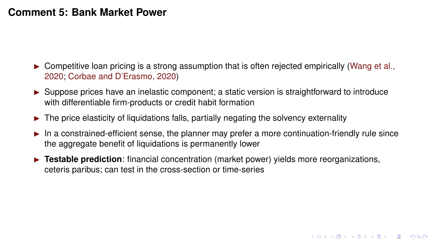- $\triangleright$  Competitive loan pricing is a strong assumption that is often rejected empirically [\(Wang et al.,](#page-35-5) [2020;](#page-35-5) [Corbae and D'Erasmo, 2020\)](#page-35-6)
- $\triangleright$  Suppose prices have an inelastic component; a static version is straightforward to introduce with differentiable firm-products or credit habit formation
- $\triangleright$  The price elasticity of liquidations falls, partially negating the solvency externality
- $\blacktriangleright$  In a constrained-efficient sense, the planner may prefer a more continuation-friendly rule since the aggregate benefit of liquidations is permanently lower

**KORK EX KEY OR ABY** 

**Festable prediction**: financial concentration (market power) yields more reorganizations, ceteris paribus; can test in the cross-section or time-series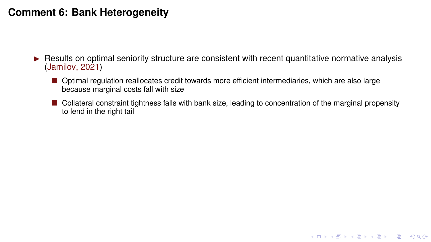- $\triangleright$  Results on optimal seniority structure are consistent with recent quantitative normative analysis [\(Jamilov, 2021\)](#page-35-7)
	- **Optimal regulation reallocates credit towards more efficient intermediaries, which are also large** because marginal costs fall with size
	- **Collateral constraint tightness falls with bank size, leading to concentration of the marginal propensity** to lend in the right tail

K ロ ▶ K @ ▶ K 할 > K 할 > 1 할 > 9 Q Q\*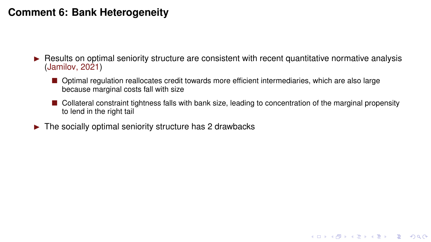- I Results on optimal seniority structure are consistent with recent quantitative normative analysis [\(Jamilov, 2021\)](#page-35-7)
	- **Depart Lands** regulation reallocates credit towards more efficient intermediaries, which are also large because marginal costs fall with size
	- **E** Collateral constraint tightness falls with bank size, leading to concentration of the marginal propensity to lend in the right tail

K ロ ▶ K @ ▶ K 할 > K 할 > 1 할 > 9 Q Q\*

 $\blacktriangleright$  The socially optimal seniority structure has 2 drawbacks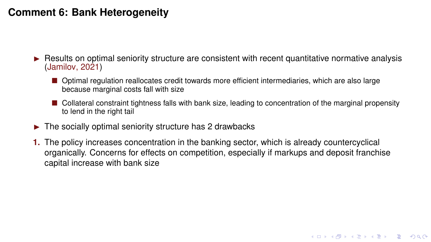- I Results on optimal seniority structure are consistent with recent quantitative normative analysis [\(Jamilov, 2021\)](#page-35-7)
	- **Depart Lands** regulation reallocates credit towards more efficient intermediaries, which are also large because marginal costs fall with size
	- **E** Collateral constraint tightness falls with bank size, leading to concentration of the marginal propensity to lend in the right tail

**KO KARK KEK (EK SARA)** 

- $\triangleright$  The socially optimal seniority structure has 2 drawbacks
- **1.** The policy increases concentration in the banking sector, which is already countercyclical organically. Concerns for effects on competition, especially if markups and deposit franchise capital increase with bank size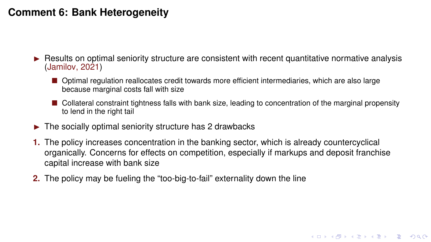- I Results on optimal seniority structure are consistent with recent quantitative normative analysis [\(Jamilov, 2021\)](#page-35-7)
	- **Depart Lands** regulation reallocates credit towards more efficient intermediaries, which are also large because marginal costs fall with size
	- **E** Collateral constraint tightness falls with bank size, leading to concentration of the marginal propensity to lend in the right tail

**KO KARK KEK (EK SARA)** 

- $\triangleright$  The socially optimal seniority structure has 2 drawbacks
- **1.** The policy increases concentration in the banking sector, which is already countercyclical organically. Concerns for effects on competition, especially if markups and deposit franchise capital increase with bank size
- **2.** The policy may be fueling the "too-big-to-fail" externality down the line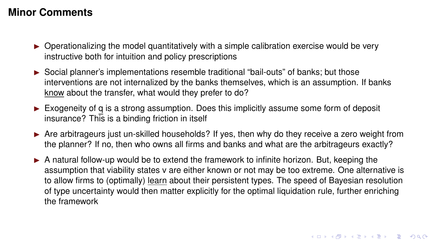#### **Minor Comments**

- $\triangleright$  Operationalizing the model quantitatively with a simple calibration exercise would be very instructive both for intuition and policy prescriptions
- ► Social planner's implementations resemble traditional "bail-outs" of banks; but those interventions are not internalized by the banks themselves, which is an assumption. If banks know about the transfer, what would they prefer to do?
- $\triangleright$  Exogeneity of q is a strong assumption. Does this implicitly assume some form of deposit insurance? This is a binding friction in itself
- $\triangleright$  Are arbitrageurs just un-skilled households? If yes, then why do they receive a zero weight from the planner? If no, then who owns all firms and banks and what are the arbitrageurs exactly?
- $\triangleright$  A natural follow-up would be to extend the framework to infinite horizon. But, keeping the assumption that viability states v are either known or not may be too extreme. One alternative is to allow firms to (optimally) learn about their persistent types. The speed of Bayesian resolution of type uncertainty would then matter explicitly for the optimal liquidation rule, further enriching the framework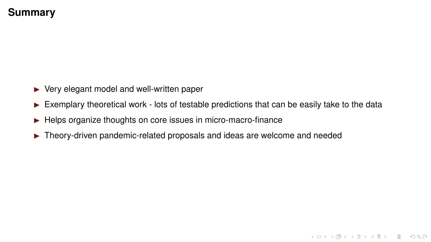### **Summary**

- $\blacktriangleright$  Very elegant model and well-written paper
- $\triangleright$  Exemplary theoretical work lots of testable predictions that can be easily take to the data

**KID X 4 @ X X 暑 X X 暑 X → 暑 → 9 Q Q →** 

- $\blacktriangleright$  Helps organize thoughts on core issues in micro-macro-finance
- $\triangleright$  Theory-driven pandemic-related proposals and ideas are welcome and needed